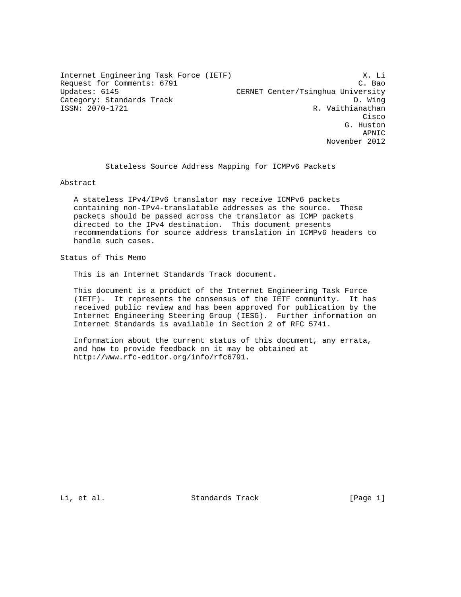Internet Engineering Task Force (IETF) X. Li Request for Comments: 6791 C. Bao<br>Updates: 6145 CERNET Center/Tsinghua University CERNET Center/Tsinghua University Category: Standards Track and D. Wing<br>
ISSN: 2070-1721 R. Vaithianathan R. Vaithianathan **Cisco de la contrata de la contrata de la contrata de la contrata de la contrata de la contrata de la contrat**  G. Huston APNIC November 2012

Stateless Source Address Mapping for ICMPv6 Packets

Abstract

 A stateless IPv4/IPv6 translator may receive ICMPv6 packets containing non-IPv4-translatable addresses as the source. These packets should be passed across the translator as ICMP packets directed to the IPv4 destination. This document presents recommendations for source address translation in ICMPv6 headers to handle such cases.

Status of This Memo

This is an Internet Standards Track document.

 This document is a product of the Internet Engineering Task Force (IETF). It represents the consensus of the IETF community. It has received public review and has been approved for publication by the Internet Engineering Steering Group (IESG). Further information on Internet Standards is available in Section 2 of RFC 5741.

 Information about the current status of this document, any errata, and how to provide feedback on it may be obtained at http://www.rfc-editor.org/info/rfc6791.

Li, et al. Standards Track [Page 1]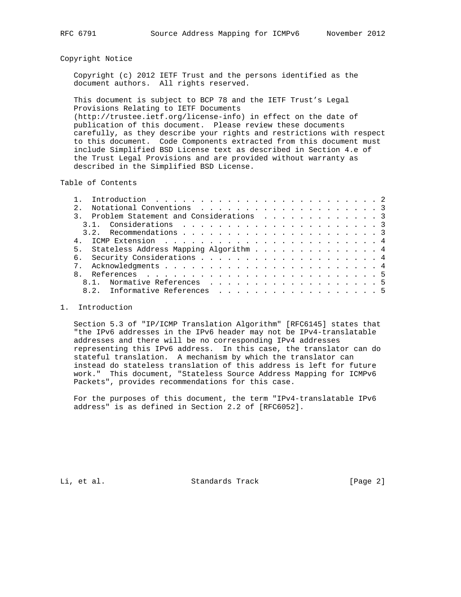## Copyright Notice

 Copyright (c) 2012 IETF Trust and the persons identified as the document authors. All rights reserved.

 This document is subject to BCP 78 and the IETF Trust's Legal Provisions Relating to IETF Documents (http://trustee.ietf.org/license-info) in effect on the date of publication of this document. Please review these documents carefully, as they describe your rights and restrictions with respect to this document. Code Components extracted from this document must include Simplified BSD License text as described in Section 4.e of the Trust Legal Provisions and are provided without warranty as described in the Simplified BSD License.

## Table of Contents

|                                          |  |  | Problem Statement and Considerations 3 |  |  |  |  |  |  |  |  |  |  |  |  |  |  |  |  |  |  |
|------------------------------------------|--|--|----------------------------------------|--|--|--|--|--|--|--|--|--|--|--|--|--|--|--|--|--|--|
|                                          |  |  |                                        |  |  |  |  |  |  |  |  |  |  |  |  |  |  |  |  |  |  |
|                                          |  |  |                                        |  |  |  |  |  |  |  |  |  |  |  |  |  |  |  |  |  |  |
|                                          |  |  |                                        |  |  |  |  |  |  |  |  |  |  |  |  |  |  |  |  |  |  |
| 5. Stateless Address Mapping Algorithm 4 |  |  |                                        |  |  |  |  |  |  |  |  |  |  |  |  |  |  |  |  |  |  |
|                                          |  |  |                                        |  |  |  |  |  |  |  |  |  |  |  |  |  |  |  |  |  |  |
|                                          |  |  |                                        |  |  |  |  |  |  |  |  |  |  |  |  |  |  |  |  |  |  |
|                                          |  |  |                                        |  |  |  |  |  |  |  |  |  |  |  |  |  |  |  |  |  |  |
|                                          |  |  | 8.1. Normative References 5            |  |  |  |  |  |  |  |  |  |  |  |  |  |  |  |  |  |  |
|                                          |  |  | 8.2. Informative References 5          |  |  |  |  |  |  |  |  |  |  |  |  |  |  |  |  |  |  |
|                                          |  |  |                                        |  |  |  |  |  |  |  |  |  |  |  |  |  |  |  |  |  |  |

### 1. Introduction

 Section 5.3 of "IP/ICMP Translation Algorithm" [RFC6145] states that "the IPv6 addresses in the IPv6 header may not be IPv4-translatable addresses and there will be no corresponding IPv4 addresses representing this IPv6 address. In this case, the translator can do stateful translation. A mechanism by which the translator can instead do stateless translation of this address is left for future work." This document, "Stateless Source Address Mapping for ICMPv6 Packets", provides recommendations for this case.

 For the purposes of this document, the term "IPv4-translatable IPv6 address" is as defined in Section 2.2 of [RFC6052].

Li, et al. Standards Track [Page 2]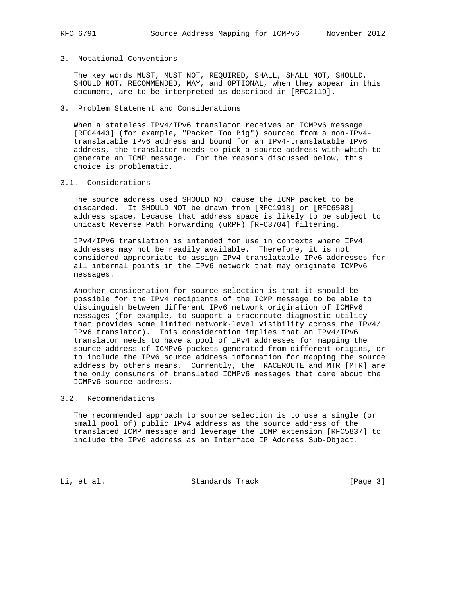# 2. Notational Conventions

 The key words MUST, MUST NOT, REQUIRED, SHALL, SHALL NOT, SHOULD, SHOULD NOT, RECOMMENDED, MAY, and OPTIONAL, when they appear in this document, are to be interpreted as described in [RFC2119].

## 3. Problem Statement and Considerations

 When a stateless IPv4/IPv6 translator receives an ICMPv6 message [RFC4443] (for example, "Packet Too Big") sourced from a non-IPv4 translatable IPv6 address and bound for an IPv4-translatable IPv6 address, the translator needs to pick a source address with which to generate an ICMP message. For the reasons discussed below, this choice is problematic.

## 3.1. Considerations

 The source address used SHOULD NOT cause the ICMP packet to be discarded. It SHOULD NOT be drawn from [RFC1918] or [RFC6598] address space, because that address space is likely to be subject to unicast Reverse Path Forwarding (uRPF) [RFC3704] filtering.

 IPv4/IPv6 translation is intended for use in contexts where IPv4 addresses may not be readily available. Therefore, it is not considered appropriate to assign IPv4-translatable IPv6 addresses for all internal points in the IPv6 network that may originate ICMPv6 messages.

 Another consideration for source selection is that it should be possible for the IPv4 recipients of the ICMP message to be able to distinguish between different IPv6 network origination of ICMPv6 messages (for example, to support a traceroute diagnostic utility that provides some limited network-level visibility across the IPv4/ IPv6 translator). This consideration implies that an IPv4/IPv6 translator needs to have a pool of IPv4 addresses for mapping the source address of ICMPv6 packets generated from different origins, or to include the IPv6 source address information for mapping the source address by others means. Currently, the TRACEROUTE and MTR [MTR] are the only consumers of translated ICMPv6 messages that care about the ICMPv6 source address.

# 3.2. Recommendations

 The recommended approach to source selection is to use a single (or small pool of) public IPv4 address as the source address of the translated ICMP message and leverage the ICMP extension [RFC5837] to include the IPv6 address as an Interface IP Address Sub-Object.

Li, et al. Standards Track [Page 3]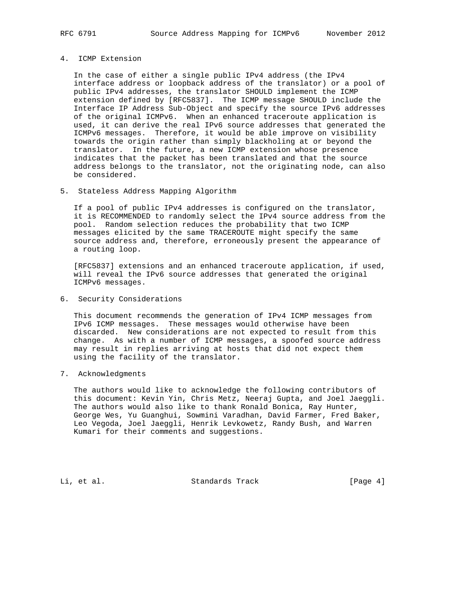# 4. ICMP Extension

 In the case of either a single public IPv4 address (the IPv4 interface address or loopback address of the translator) or a pool of public IPv4 addresses, the translator SHOULD implement the ICMP extension defined by [RFC5837]. The ICMP message SHOULD include the Interface IP Address Sub-Object and specify the source IPv6 addresses of the original ICMPv6. When an enhanced traceroute application is used, it can derive the real IPv6 source addresses that generated the ICMPv6 messages. Therefore, it would be able improve on visibility towards the origin rather than simply blackholing at or beyond the translator. In the future, a new ICMP extension whose presence indicates that the packet has been translated and that the source address belongs to the translator, not the originating node, can also be considered.

5. Stateless Address Mapping Algorithm

 If a pool of public IPv4 addresses is configured on the translator, it is RECOMMENDED to randomly select the IPv4 source address from the pool. Random selection reduces the probability that two ICMP messages elicited by the same TRACEROUTE might specify the same source address and, therefore, erroneously present the appearance of a routing loop.

 [RFC5837] extensions and an enhanced traceroute application, if used, will reveal the IPv6 source addresses that generated the original ICMPv6 messages.

6. Security Considerations

 This document recommends the generation of IPv4 ICMP messages from IPv6 ICMP messages. These messages would otherwise have been discarded. New considerations are not expected to result from this change. As with a number of ICMP messages, a spoofed source address may result in replies arriving at hosts that did not expect them using the facility of the translator.

## 7. Acknowledgments

 The authors would like to acknowledge the following contributors of this document: Kevin Yin, Chris Metz, Neeraj Gupta, and Joel Jaeggli. The authors would also like to thank Ronald Bonica, Ray Hunter, George Wes, Yu Guanghui, Sowmini Varadhan, David Farmer, Fred Baker, Leo Vegoda, Joel Jaeggli, Henrik Levkowetz, Randy Bush, and Warren Kumari for their comments and suggestions.

Li, et al. Standards Track [Page 4]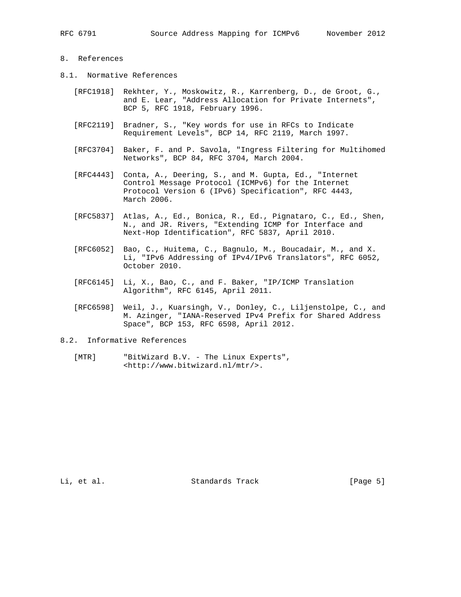# 8. References

- 8.1. Normative References
	- [RFC1918] Rekhter, Y., Moskowitz, R., Karrenberg, D., de Groot, G., and E. Lear, "Address Allocation for Private Internets", BCP 5, RFC 1918, February 1996.
	- [RFC2119] Bradner, S., "Key words for use in RFCs to Indicate Requirement Levels", BCP 14, RFC 2119, March 1997.
	- [RFC3704] Baker, F. and P. Savola, "Ingress Filtering for Multihomed Networks", BCP 84, RFC 3704, March 2004.
	- [RFC4443] Conta, A., Deering, S., and M. Gupta, Ed., "Internet Control Message Protocol (ICMPv6) for the Internet Protocol Version 6 (IPv6) Specification", RFC 4443, March 2006.
	- [RFC5837] Atlas, A., Ed., Bonica, R., Ed., Pignataro, C., Ed., Shen, N., and JR. Rivers, "Extending ICMP for Interface and Next-Hop Identification", RFC 5837, April 2010.
	- [RFC6052] Bao, C., Huitema, C., Bagnulo, M., Boucadair, M., and X. Li, "IPv6 Addressing of IPv4/IPv6 Translators", RFC 6052, October 2010.
	- [RFC6145] Li, X., Bao, C., and F. Baker, "IP/ICMP Translation Algorithm", RFC 6145, April 2011.
	- [RFC6598] Weil, J., Kuarsingh, V., Donley, C., Liljenstolpe, C., and M. Azinger, "IANA-Reserved IPv4 Prefix for Shared Address Space", BCP 153, RFC 6598, April 2012.

## 8.2. Informative References

 [MTR] "BitWizard B.V. - The Linux Experts", <http://www.bitwizard.nl/mtr/>.

Li, et al. Standards Track [Page 5]